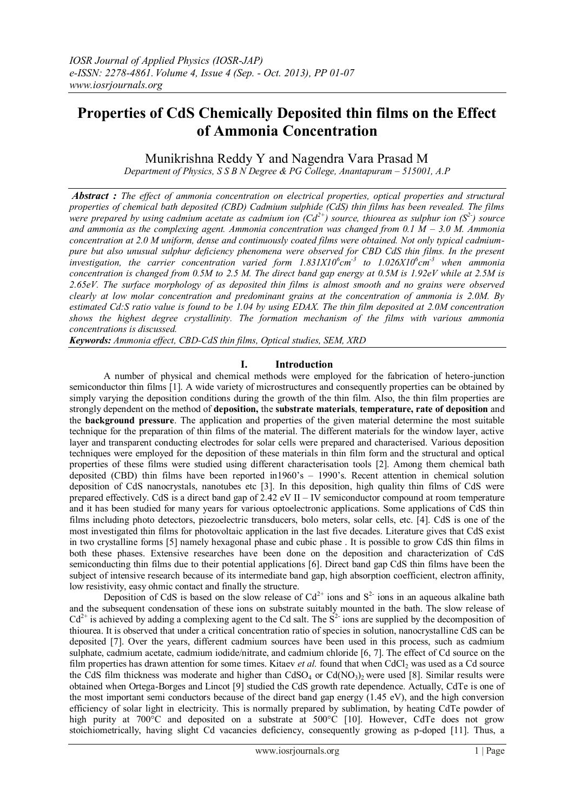# **Properties of CdS Chemically Deposited thin films on the Effect of Ammonia Concentration**

Munikrishna Reddy Y and Nagendra Vara Prasad M

*Department of Physics, S S B N Degree & PG College, Anantapuram – 515001, A.P* 

*Abstract : The effect of ammonia concentration on electrical properties, optical properties and structural properties of chemical bath deposited (CBD) Cadmium sulphide (CdS) thin films has been revealed. The films were prepared by using cadmium acetate as cadmium ion (Cd2+) source, thiourea as sulphur ion (S2- ) source*  and ammonia as the complexing agent. Ammonia concentration was changed from  $0.1 M - 3.0 M$ . Ammonia *concentration at 2.0 M uniform, dense and continuously coated films were obtained. Not only typical cadmiumpure but also unusual sulphur deficiency phenomena were observed for CBD CdS thin films. In the present investigation, the carrier concentration varied form 1.831X10<sup>6</sup>cm<sup>-3</sup> to 1.026X10<sup>6</sup>cm<sup>-3</sup> when ammonia concentration is changed from 0.5M to 2.5 M. The direct band gap energy at 0.5M is 1.92eV while at 2.5M is 2.65eV. The surface morphology of as deposited thin films is almost smooth and no grains were observed clearly at low molar concentration and predominant grains at the concentration of ammonia is 2.0M. By estimated Cd:S ratio value is found to be 1.04 by using EDAX. The thin film deposited at 2.0M concentration shows the highest degree crystallinity. The formation mechanism of the films with various ammonia concentrations is discussed.*

*Keywords: Ammonia effect, CBD-CdS thin films, Optical studies, SEM, XRD*

# **I. Introduction**

A number of physical and chemical methods were employed for the fabrication of hetero-junction semiconductor thin films [1]. A wide variety of microstructures and consequently properties can be obtained by simply varying the deposition conditions during the growth of the thin film. Also, the thin film properties are strongly dependent on the method of **deposition,** the **substrate materials**, **temperature, rate of deposition** and the **background pressure**. The application and properties of the given material determine the most suitable technique for the preparation of thin films of the material. The different materials for the window layer, active layer and transparent conducting electrodes for solar cells were prepared and characterised. Various deposition techniques were employed for the deposition of these materials in thin film form and the structural and optical properties of these films were studied using different characterisation tools [2]. Among them chemical bath deposited (CBD) thin films have been reported in1960's – 1990's. Recent attention in chemical solution deposition of CdS nanocrystals, nanotubes etc [3]. In this deposition, high quality thin films of CdS were prepared effectively. CdS is a direct band gap of 2.42 eV II – IV semiconductor compound at room temperature and it has been studied for many years for various optoelectronic applications. Some applications of CdS thin films including photo detectors, piezoelectric transducers, bolo meters, solar cells, etc. [4]. CdS is one of the most investigated thin films for photovoltaic application in the last five decades. Literature gives that CdS exist in two crystalline forms [5] namely hexagonal phase and cubic phase . It is possible to grow CdS thin films in both these phases. Extensive researches have been done on the deposition and characterization of CdS semiconducting thin films due to their potential applications [6]. Direct band gap CdS thin films have been the subject of intensive research because of its intermediate band gap, high absorption coefficient, electron affinity, low resistivity, easy ohmic contact and finally the structure.

Deposition of CdS is based on the slow release of  $Cd^{2+}$  ions and  $S^2$  ions in an aqueous alkaline bath and the subsequent condensation of these ions on substrate suitably mounted in the bath. The slow release of  $Cd^{2+}$  is achieved by adding a complexing agent to the Cd salt. The  $S^2$  ions are supplied by the decomposition of thiourea. It is observed that under a critical concentration ratio of species in solution, nanocrystalline CdS can be deposited [7]. Over the years, different cadmium sources have been used in this process, such as cadmium sulphate, cadmium acetate, cadmium iodide/nitrate, and cadmium chloride [6, 7]. The effect of Cd source on the film properties has drawn attention for some times. Kitaev *et al.* found that when CdCl<sub>2</sub> was used as a Cd source the CdS film thickness was moderate and higher than  $C dSO_4$  or  $Cd(NO_3)_2$  were used [8]. Similar results were obtained when Ortega-Borges and Lincot [9] studied the CdS growth rate dependence. Actually, CdTe is one of the most important semi conductors because of the direct band gap energy (1.45 eV), and the high conversion efficiency of solar light in electricity. This is normally prepared by sublimation, by heating CdTe powder of high purity at 700°C and deposited on a substrate at 500°C [10]. However, CdTe does not grow stoichiometrically, having slight Cd vacancies deficiency, consequently growing as p-doped [11]. Thus, a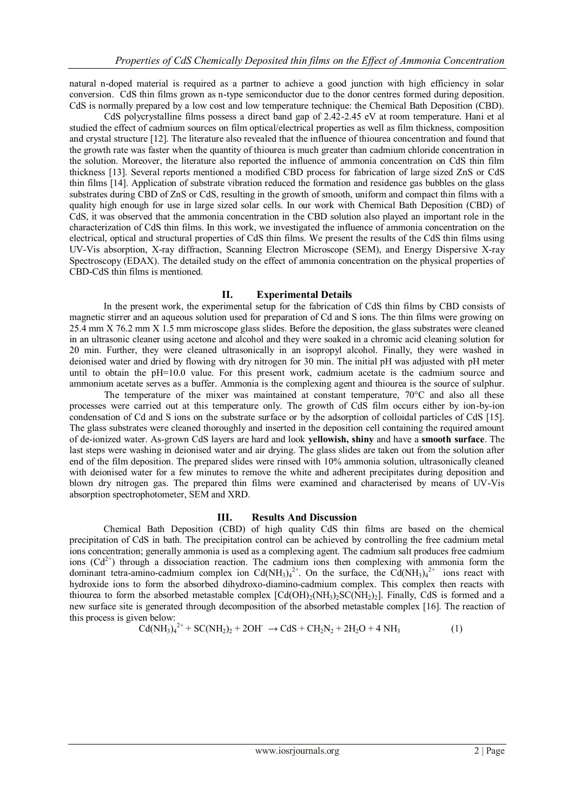natural n-doped material is required as a partner to achieve a good junction with high efficiency in solar conversion. CdS thin films grown as n-type semiconductor due to the donor centres formed during deposition. CdS is normally prepared by a low cost and low temperature technique: the Chemical Bath Deposition (CBD).

CdS polycrystalline films possess a direct band gap of 2.42-2.45 eV at room temperature. Hani et al studied the effect of cadmium sources on film optical/electrical properties as well as film thickness, composition and crystal structure [12]. The literature also revealed that the influence of thiourea concentration and found that the growth rate was faster when the quantity of thiourea is much greater than cadmium chloride concentration in the solution. Moreover, the literature also reported the influence of ammonia concentration on CdS thin film thickness [13]. Several reports mentioned a modified CBD process for fabrication of large sized ZnS or CdS thin films [14]. Application of substrate vibration reduced the formation and residence gas bubbles on the glass substrates during CBD of ZnS or CdS, resulting in the growth of smooth, uniform and compact thin films with a quality high enough for use in large sized solar cells. In our work with Chemical Bath Deposition (CBD) of CdS, it was observed that the ammonia concentration in the CBD solution also played an important role in the characterization of CdS thin films. In this work, we investigated the influence of ammonia concentration on the electrical, optical and structural properties of CdS thin films. We present the results of the CdS thin films using UV-Vis absorption, X-ray diffraction, Scanning Electron Microscope (SEM), and Energy Dispersive X-ray Spectroscopy (EDAX). The detailed study on the effect of ammonia concentration on the physical properties of CBD-CdS thin films is mentioned.

### **II. Experimental Details**

In the present work, the experimental setup for the fabrication of CdS thin films by CBD consists of magnetic stirrer and an aqueous solution used for preparation of Cd and S ions. The thin films were growing on 25.4 mm X 76.2 mm X 1.5 mm microscope glass slides. Before the deposition, the glass substrates were cleaned in an ultrasonic cleaner using acetone and alcohol and they were soaked in a chromic acid cleaning solution for 20 min. Further, they were cleaned ultrasonically in an isopropyl alcohol. Finally, they were washed in deionised water and dried by flowing with dry nitrogen for 30 min. The initial pH was adjusted with pH meter until to obtain the pH=10.0 value. For this present work, cadmium acetate is the cadmium source and ammonium acetate serves as a buffer. Ammonia is the complexing agent and thiourea is the source of sulphur.

The temperature of the mixer was maintained at constant temperature,  $70^{\circ}$ C and also all these processes were carried out at this temperature only. The growth of CdS film occurs either by ion-by-ion condensation of Cd and S ions on the substrate surface or by the adsorption of colloidal particles of CdS [15]. The glass substrates were cleaned thoroughly and inserted in the deposition cell containing the required amount of de-ionized water. As-grown CdS layers are hard and look **yellowish, shiny** and have a **smooth surface**. The last steps were washing in deionised water and air drying. The glass slides are taken out from the solution after end of the film deposition. The prepared slides were rinsed with 10% ammonia solution, ultrasonically cleaned with deionised water for a few minutes to remove the white and adherent precipitates during deposition and blown dry nitrogen gas. The prepared thin films were examined and characterised by means of UV-Vis absorption spectrophotometer, SEM and XRD.

#### **III. Results And Discussion**

Chemical Bath Deposition (CBD) of high quality CdS thin films are based on the chemical precipitation of CdS in bath. The precipitation control can be achieved by controlling the free cadmium metal ions concentration; generally ammonia is used as a complexing agent. The cadmium salt produces free cadmium ions  $(Cd^{2+})$  through a dissociation reaction. The cadmium ions then complexing with ammonia form the dominant tetra-amino-cadmium complex ion Cd(NH<sub>3</sub>)<sub>4</sub><sup>2+</sup>. On the surface, the Cd(NH<sub>3</sub>)<sub>4</sub><sup>2+</sup> ions react with hydroxide ions to form the absorbed dihydroxo-diamino-cadmium complex. This complex then reacts with thiourea to form the absorbed metastable complex  $\text{[Cd(OH)}_2(\text{NH}_3)_2\text{SC(NH}_2)_2\text{]}$ . Finally, CdS is formed and a new surface site is generated through decomposition of the absorbed metastable complex [16]. The reaction of this process is given below:

$$
Cd(NH_3)_4^{2+} + SC(NH_2)_2 + 2OH^- \rightarrow CdS + CH_2N_2 + 2H_2O + 4NH_3
$$
 (1)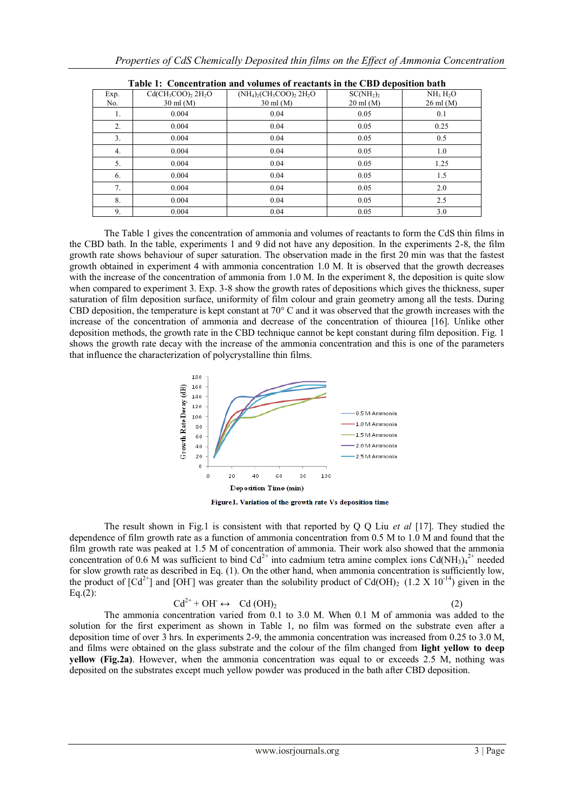| Properties of CdS Chemically Deposited thin films on the Effect of Ammonia Concentration |  |  |  |
|------------------------------------------------------------------------------------------|--|--|--|
|                                                                                          |  |  |  |

| тиміс ті — сопсенні иноп-ини-гогишся от генецина ні епе сър асрояноп-мин |                                                |                                                                                        |                                                           |                                                          |  |  |  |
|--------------------------------------------------------------------------|------------------------------------------------|----------------------------------------------------------------------------------------|-----------------------------------------------------------|----------------------------------------------------------|--|--|--|
| Exp.<br>No.                                                              | $Cd(CH_3COO)_2$ $2H_2O$<br>$30 \text{ ml}$ (M) | $(NH_4)_2$ (CH <sub>3</sub> COO) <sub>2</sub> 2H <sub>2</sub> O<br>$30 \text{ ml}$ (M) | SC(NH <sub>2</sub> ) <sub>2</sub><br>$20 \text{ ml } (M)$ | NH <sub>3</sub> H <sub>2</sub> O<br>$26 \text{ ml } (M)$ |  |  |  |
|                                                                          |                                                |                                                                                        |                                                           |                                                          |  |  |  |
| 1.                                                                       | 0.004                                          | 0.04                                                                                   | 0.05                                                      | 0.1                                                      |  |  |  |
| 2.                                                                       | 0.004                                          | 0.04                                                                                   | 0.05                                                      | 0.25                                                     |  |  |  |
| 3.                                                                       | 0.004                                          | 0.04                                                                                   | 0.05                                                      | 0.5                                                      |  |  |  |
| 4.                                                                       | 0.004                                          | 0.04                                                                                   | 0.05                                                      | 1.0                                                      |  |  |  |
| 5.                                                                       | 0.004                                          | 0.04                                                                                   | 0.05                                                      | 1.25                                                     |  |  |  |
| 6.                                                                       | 0.004                                          | 0.04                                                                                   | 0.05                                                      | 1.5                                                      |  |  |  |
| 7.                                                                       | 0.004                                          | 0.04                                                                                   | 0.05                                                      | 2.0                                                      |  |  |  |
| 8.                                                                       | 0.004                                          | 0.04                                                                                   | 0.05                                                      | 2.5                                                      |  |  |  |
| 9.                                                                       | 0.004                                          | 0.04                                                                                   | 0.05                                                      | 3.0                                                      |  |  |  |

| Table 1: Concentration and volumes of reactants in the CBD deposition bath |  |  |
|----------------------------------------------------------------------------|--|--|
|                                                                            |  |  |

The Table 1 gives the concentration of ammonia and volumes of reactants to form the CdS thin films in the CBD bath. In the table, experiments 1 and 9 did not have any deposition. In the experiments 2-8, the film growth rate shows behaviour of super saturation. The observation made in the first 20 min was that the fastest growth obtained in experiment 4 with ammonia concentration 1.0 M. It is observed that the growth decreases with the increase of the concentration of ammonia from 1.0 M. In the experiment 8, the deposition is quite slow when compared to experiment 3. Exp. 3-8 show the growth rates of depositions which gives the thickness, super saturation of film deposition surface, uniformity of film colour and grain geometry among all the tests. During CBD deposition, the temperature is kept constant at 70° C and it was observed that the growth increases with the increase of the concentration of ammonia and decrease of the concentration of thiourea [16]. Unlike other deposition methods, the growth rate in the CBD technique cannot be kept constant during film deposition. Fig. 1 shows the growth rate decay with the increase of the ammonia concentration and this is one of the parameters that influence the characterization of polycrystalline thin films.



Figure1. Variation of the growth rate Vs deposition time

The result shown in Fig.1 is consistent with that reported by Q Q Liu *et al* [17]. They studied the dependence of film growth rate as a function of ammonia concentration from 0.5 M to 1.0 M and found that the film growth rate was peaked at 1.5 M of concentration of ammonia. Their work also showed that the ammonia concentration of 0.6 M was sufficient to bind  $Cd^{2+}$  into cadmium tetra amine complex ions Cd(NH<sub>3)4</sub><sup>2+</sup> needed for slow growth rate as described in Eq. (1). On the other hand, when ammonia concentration is sufficiently low, the product of  $[Cd^{2+}]$  and  $[OH]$  was greater than the solubility product of Cd(OH)<sub>2</sub> (1.2 X 10<sup>-14</sup>) given in the Eq.(2):

$$
Cd^{2+} + OH \leftrightarrow Cd(OH)_2
$$
 (2)

The ammonia concentration varied from 0.1 to 3.0 M. When 0.1 M of ammonia was added to the solution for the first experiment as shown in Table 1, no film was formed on the substrate even after a deposition time of over 3 hrs. In experiments 2-9, the ammonia concentration was increased from 0.25 to 3.0 M, and films were obtained on the glass substrate and the colour of the film changed from **light yellow to deep yellow (Fig.2a)**. However, when the ammonia concentration was equal to or exceeds 2.5 M, nothing was deposited on the substrates except much yellow powder was produced in the bath after CBD deposition.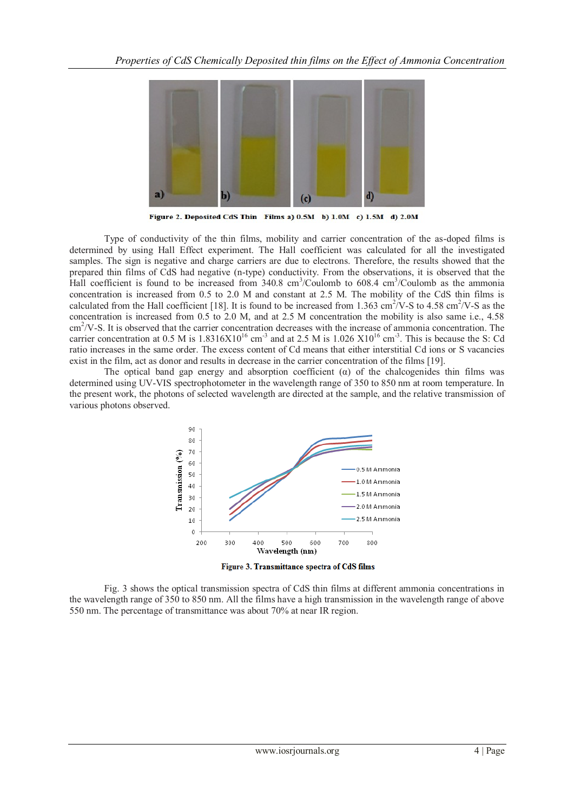

Figure 2. Deposited CdS Thin Films a) 0.5M b) 1.0M c) 1.5M d) 2.0M

Type of conductivity of the thin films, mobility and carrier concentration of the as-doped films is determined by using Hall Effect experiment. The Hall coefficient was calculated for all the investigated samples. The sign is negative and charge carriers are due to electrons. Therefore, the results showed that the prepared thin films of CdS had negative (n-type) conductivity. From the observations, it is observed that the Hall coefficient is found to be increased from 340.8 cm<sup>3</sup>/Coulomb to 608.4 cm<sup>3</sup>/Coulomb as the ammonia concentration is increased from 0.5 to 2.0 M and constant at 2.5 M. The mobility of the CdS thin films is calculated from the Hall coefficient [18]. It is found to be increased from 1.363 cm<sup>2</sup>/V-S to 4.58 cm<sup>2</sup>/V-S as the concentration is increased from 0.5 to 2.0 M, and at 2.5 M concentration the mobility is also same i.e., 4.58 cm<sup>2</sup>/V-S. It is observed that the carrier concentration decreases with the increase of ammonia concentration. The carrier concentration at 0.5 M is  $1.8316X10^{16}$  cm<sup>-3</sup> and at 2.5 M is  $1.026 X10^{16}$  cm<sup>-3</sup>. This is because the S: Cd ratio increases in the same order. The excess content of Cd means that either interstitial Cd ions or S vacancies exist in the film, act as donor and results in decrease in the carrier concentration of the films [19].

The optical band gap energy and absorption coefficient  $\alpha$  of the chalcogenides thin films was determined using UV-VIS spectrophotometer in the wavelength range of 350 to 850 nm at room temperature. In the present work, the photons of selected wavelength are directed at the sample, and the relative transmission of various photons observed.



Figure 3. Transmittance spectra of CdS films

Fig. 3 shows the optical transmission spectra of CdS thin films at different ammonia concentrations in the wavelength range of 350 to 850 nm. All the films have a high transmission in the wavelength range of above 550 nm. The percentage of transmittance was about 70% at near IR region.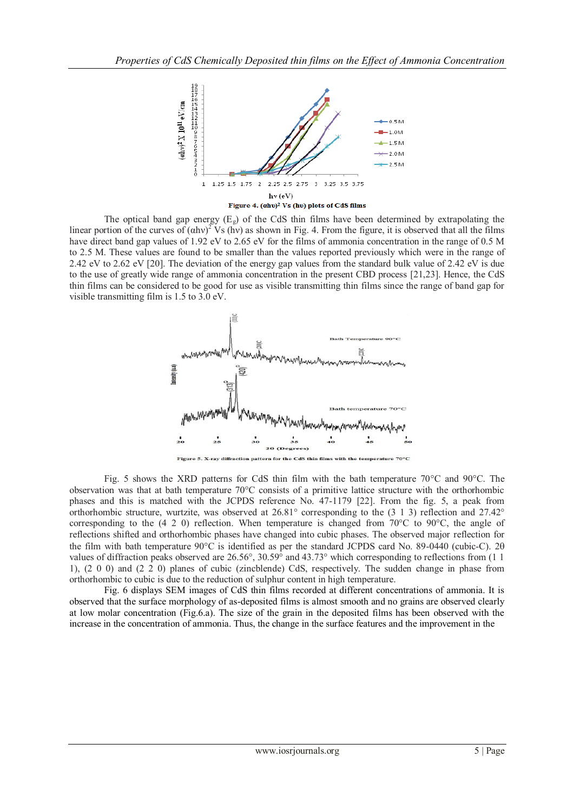

The optical band gap energy  $(E_g)$  of the CdS thin films have been determined by extrapolating the linear portion of the curves of  $(ahv)^2$  Vs (hv) as shown in Fig. 4. From the figure, it is observed that all the films have direct band gap values of 1.92 eV to 2.65 eV for the films of ammonia concentration in the range of 0.5 M to 2.5 M. These values are found to be smaller than the values reported previously which were in the range of 2.42 eV to 2.62 eV [20]. The deviation of the energy gap values from the standard bulk value of 2.42 eV is due to the use of greatly wide range of ammonia concentration in the present CBD process [21,23]. Hence, the CdS thin films can be considered to be good for use as visible transmitting thin films since the range of band gap for visible transmitting film is 1.5 to 3.0 eV.



Fig. 5 shows the XRD patterns for CdS thin film with the bath temperature 70°C and 90°C. The observation was that at bath temperature 70°C consists of a primitive lattice structure with the orthorhombic phases and this is matched with the JCPDS reference No. 47-1179 [22]. From the fig. 5, a peak from orthorhombic structure, wurtzite, was observed at 26.81° corresponding to the (3 1 3) reflection and 27.42° corresponding to the (4 2 0) reflection. When temperature is changed from 70°C to 90°C, the angle of reflections shifted and orthorhombic phases have changed into cubic phases. The observed major reflection for the film with bath temperature  $90^{\circ}$ C is identified as per the standard JCPDS card No. 89-0440 (cubic-C). 2 $\theta$ values of diffraction peaks observed are 26.56°, 30.59° and 43.73° which corresponding to reflections from (1 1 1), (2 0 0) and (2 2 0) planes of cubic (zincblende) CdS, respectively. The sudden change in phase from orthorhombic to cubic is due to the reduction of sulphur content in high temperature.

Fig. 6 displays SEM images of CdS thin films recorded at different concentrations of ammonia. It is observed that the surface morphology of as-deposited films is almost smooth and no grains are observed clearly at low molar concentration (Fig.6.a). The size of the grain in the deposited films has been observed with the increase in the concentration of ammonia. Thus, the change in the surface features and the improvement in the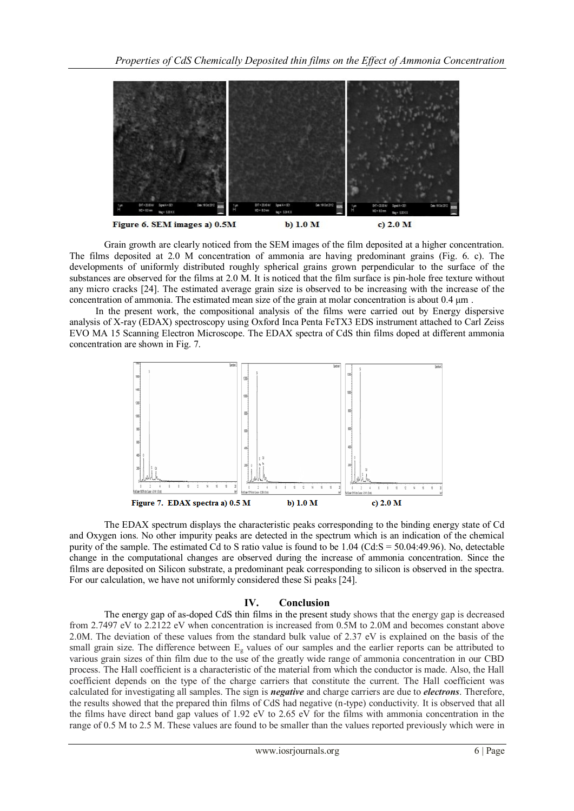

Grain growth are clearly noticed from the SEM images of the film deposited at a higher concentration. The films deposited at 2.0 M concentration of ammonia are having predominant grains (Fig. 6. c). The developments of uniformly distributed roughly spherical grains grown perpendicular to the surface of the substances are observed for the films at 2.0 M. It is noticed that the film surface is pin-hole free texture without any micro cracks [24]. The estimated average grain size is observed to be increasing with the increase of the concentration of ammonia. The estimated mean size of the grain at molar concentration is about 0.4 μm .

In the present work, the compositional analysis of the films were carried out by Energy dispersive analysis of X-ray (EDAX) spectroscopy using Oxford Inca Penta FeTX3 EDS instrument attached to Carl Zeiss EVO MA 15 Scanning Electron Microscope. The EDAX spectra of CdS thin films doped at different ammonia concentration are shown in Fig. 7.



The EDAX spectrum displays the characteristic peaks corresponding to the binding energy state of Cd and Oxygen ions. No other impurity peaks are detected in the spectrum which is an indication of the chemical purity of the sample. The estimated Cd to S ratio value is found to be 1.04 (Cd:S = 50.04:49.96). No, detectable change in the computational changes are observed during the increase of ammonia concentration. Since the films are deposited on Silicon substrate, a predominant peak corresponding to silicon is observed in the spectra. For our calculation, we have not uniformly considered these Si peaks [24].

## **IV. Conclusion**

The energy gap of as-doped CdS thin films in the present study shows that the energy gap is decreased from 2.7497 eV to 2.2122 eV when concentration is increased from 0.5M to 2.0M and becomes constant above 2.0M. The deviation of these values from the standard bulk value of 2.37 eV is explained on the basis of the small grain size. The difference between E<sup>g</sup> values of our samples and the earlier reports can be attributed to various grain sizes of thin film due to the use of the greatly wide range of ammonia concentration in our CBD process. The Hall coefficient is a characteristic of the material from which the conductor is made. Also, the Hall coefficient depends on the type of the charge carriers that constitute the current. The Hall coefficient was calculated for investigating all samples. The sign is *negative* and charge carriers are due to *electrons*. Therefore, the results showed that the prepared thin films of CdS had negative (n-type) conductivity. It is observed that all the films have direct band gap values of 1.92 eV to 2.65 eV for the films with ammonia concentration in the range of 0.5 M to 2.5 M. These values are found to be smaller than the values reported previously which were in